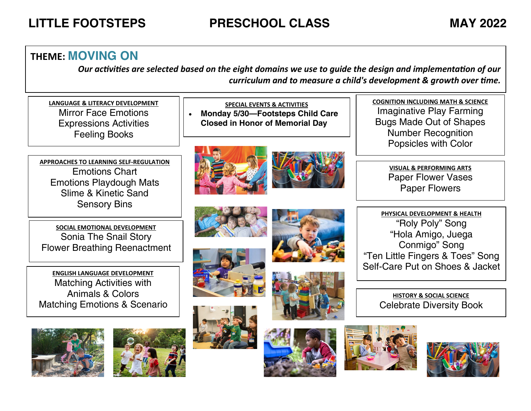# **LITTLE FOOTSTEPS PRESCHOOL CLASS MAY 2022**

### **THEME: MOVING ON**

*Our activities are selected based on the eight domains we use to guide the design and implementation of our curriculum and to measure a child's development & growth over time.*

**LANGUAGE & LITERACY DEVELOPMENT** Mirror Face Emotions Expressions Activities Feeling Books

**APPROACHES TO LEARNING SELF-REGULATION** Emotions Chart Emotions Playdough Mats Slime & Kinetic Sand Sensory Bins

**SOCIAL EMOTIONAL DEVELOPMENT** Sonia The Snail Story Flower Breathing Reenactment

**ENGLISH LANGUAGE DEVELOPMENT** Matching Activities with Animals & Colors Matching Emotions & Scenario





**SPECIAL EVENTS & ACTIVITIES**  • **Monday 5/30—Footsteps Child Care Closed in Honor of Memorial Day**





















**COGNITION INCLUDING MATH & SCIENCE** Imaginative Play Farming Bugs Made Out of Shapes Number Recognition Popsicles with Color

> **VISUAL & PERFORMING ARTS** Paper Flower Vases Paper Flowers

**PHYSICAL DEVELOPMENT & HEALTH** "Roly Poly" Song "Hola Amigo, Juega Conmigo" Song "Ten Little Fingers & Toes" Song Self-Care Put on Shoes & Jacket

> **HISTORY & SOCIAL SCIENCE** Celebrate Diversity Book